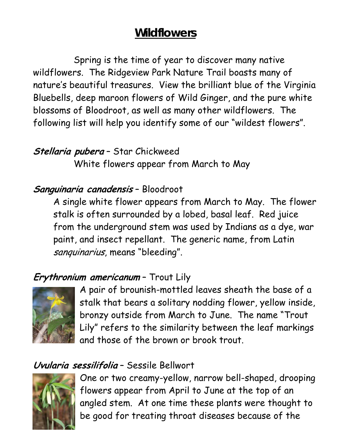# **Wildflowers**

Spring is the time of year to discover many native wildflowers. The Ridgeview Park Nature Trail boasts many of nature's beautiful treasures. View the brilliant blue of the Virginia Bluebells, deep maroon flowers of Wild Ginger, and the pure white blossoms of Bloodroot, as well as many other wildflowers. The following list will help you identify some of our "wildest flowers".

## **Stellaria pubera** – Star Chickweed

White flowers appear from March to May

#### **Sanguinaria canadensis** – Bloodroot

A single white flower appears from March to May. The flower stalk is often surrounded by a lobed, basal leaf. Red juice from the underground stem was used by Indians as a dye, war paint, and insect repellant. The generic name, from Latin sanquinarius, means "bleeding".

## **Erythronium americanum** – Trout Lily



A pair of brounish-mottled leaves sheath the base of a stalk that bears a solitary nodding flower, yellow inside, bronzy outside from March to June. The name "Trout Lily" refers to the similarity between the leaf markings and those of the brown or brook trout.

## **Uvularia sessilifolia** – Sessile Bellwort



One or two creamy-yellow, narrow bell-shaped, drooping flowers appear from April to June at the top of an angled stem. At one time these plants were thought to be good for treating throat diseases because of the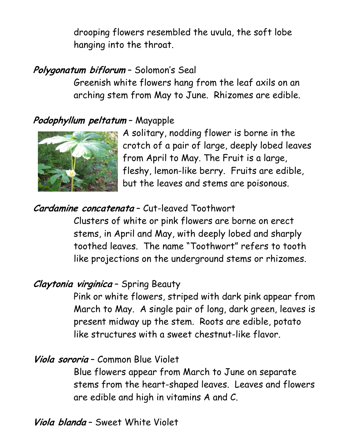drooping flowers resembled the uvula, the soft lobe hanging into the throat.

## **Polygonatum biflorum** – Solomon's Seal

Greenish white flowers hang from the leaf axils on an arching stem from May to June. Rhizomes are edible.

## **Podophyllum peltatum** – Mayapple



A solitary, nodding flower is borne in the crotch of a pair of large, deeply lobed leaves from April to May. The Fruit is a large, fleshy, lemon-like berry. Fruits are edible, but the leaves and stems are poisonous.

#### **Cardamine concatenata** – Cut-leaved Toothwort

Clusters of white or pink flowers are borne on erect stems, in April and May, with deeply lobed and sharply toothed leaves. The name "Toothwort" refers to tooth like projections on the underground stems or rhizomes.

#### **Claytonia virginica** – Spring Beauty

Pink or white flowers, striped with dark pink appear from March to May. A single pair of long, dark green, leaves is present midway up the stem. Roots are edible, potato like structures with a sweet chestnut-like flavor.

#### **Viola sororia** – Common Blue Violet

Blue flowers appear from March to June on separate stems from the heart-shaped leaves. Leaves and flowers are edible and high in vitamins A and C.

**Viola blanda** – Sweet White Violet